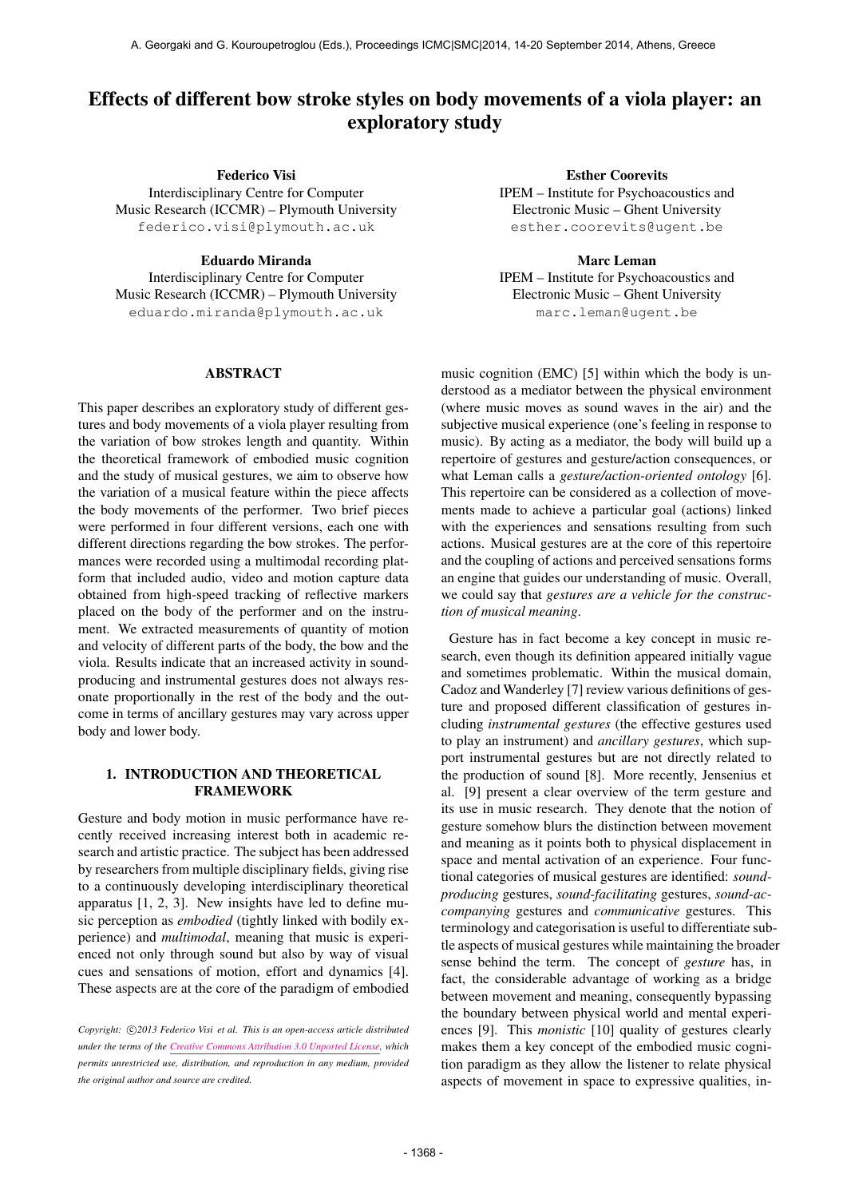# Effects of different bow stroke styles on body movements of a viola player: an exploratory study

Federico Visi Interdisciplinary Centre for Computer Music Research (ICCMR) – Plymouth University [federico.visi@plymouth.ac.uk](mailto:federico.visi@plymouth.ac.uk)

Eduardo Miranda

Interdisciplinary Centre for Computer Music Research (ICCMR) – Plymouth University [eduardo.miranda@plymouth.ac.uk](mailto:eduardo.miranda@plymouth.ac.uk)

#### ABSTRACT

This paper describes an exploratory study of different gestures and body movements of a viola player resulting from the variation of bow strokes length and quantity. Within the theoretical framework of embodied music cognition and the study of musical gestures, we aim to observe how the variation of a musical feature within the piece affects the body movements of the performer. Two brief pieces were performed in four different versions, each one with different directions regarding the bow strokes. The performances were recorded using a multimodal recording platform that included audio, video and motion capture data obtained from high-speed tracking of reflective markers placed on the body of the performer and on the instrument. We extracted measurements of quantity of motion and velocity of different parts of the body, the bow and the viola. Results indicate that an increased activity in soundproducing and instrumental gestures does not always resonate proportionally in the rest of the body and the outcome in terms of ancillary gestures may vary across upper body and lower body.

## 1. INTRODUCTION AND THEORETICAL FRAMEWORK

Gesture and body motion in music performance have recently received increasing interest both in academic research and artistic practice. The subject has been addressed by researchers from multiple disciplinary fields, giving rise to a continuously developing interdisciplinary theoretical apparatus [1, 2, 3]. New insights have led to define music perception as *embodied* (tightly linked with bodily experience) and *multimodal*, meaning that music is experienced not only through sound but also by way of visual cues and sensations of motion, effort and dynamics [4]. These aspects are at the core of the paradigm of embodied

Esther Coorevits IPEM – Institute for Psychoacoustics and Electronic Music – Ghent University [esther.coorevits@ugent.be](mailto:esther.coorevits@ugent.be)

Marc Leman IPEM – Institute for Psychoacoustics and Electronic Music – Ghent University [marc.leman@ugent.be](mailto:marc.leman@ugent.be)

music cognition (EMC) [5] within which the body is understood as a mediator between the physical environment (where music moves as sound waves in the air) and the subjective musical experience (one's feeling in response to music). By acting as a mediator, the body will build up a repertoire of gestures and gesture/action consequences, or what Leman calls a *gesture/action-oriented ontology* [6]. This repertoire can be considered as a collection of movements made to achieve a particular goal (actions) linked with the experiences and sensations resulting from such actions. Musical gestures are at the core of this repertoire and the coupling of actions and perceived sensations forms an engine that guides our understanding of music. Overall, we could say that *gestures are a vehicle for the construction of musical meaning*.

Gesture has in fact become a key concept in music research, even though its definition appeared initially vague and sometimes problematic. Within the musical domain, Cadoz and Wanderley [7] review various definitions of gesture and proposed different classification of gestures including *instrumental gestures* (the effective gestures used to play an instrument) and *ancillary gestures*, which support instrumental gestures but are not directly related to the production of sound [8]. More recently, Jensenius et al. [9] present a clear overview of the term gesture and its use in music research. They denote that the notion of gesture somehow blurs the distinction between movement and meaning as it points both to physical displacement in space and mental activation of an experience. Four functional categories of musical gestures are identified: *soundproducing* gestures, *sound-facilitating* gestures, *sound-accompanying* gestures and *communicative* gestures. This terminology and categorisation is useful to differentiate subtle aspects of musical gestures while maintaining the broader sense behind the term. The concept of *gesture* has, in fact, the considerable advantage of working as a bridge between movement and meaning, consequently bypassing the boundary between physical world and mental experiences [9]. This *monistic* [10] quality of gestures clearly makes them a key concept of the embodied music cognition paradigm as they allow the listener to relate physical aspects of movement in space to expressive qualities, in-

Copyright:  $\bigcirc$ 2013 Federico Visi et al. This is an open-access article distributed *under the terms of the [Creative Commons Attribution 3.0 Unported License,](http://creativecommons.org/licenses/by/3.0/) which permits unrestricted use, distribution, and reproduction in any medium, provided the original author and source are credited.*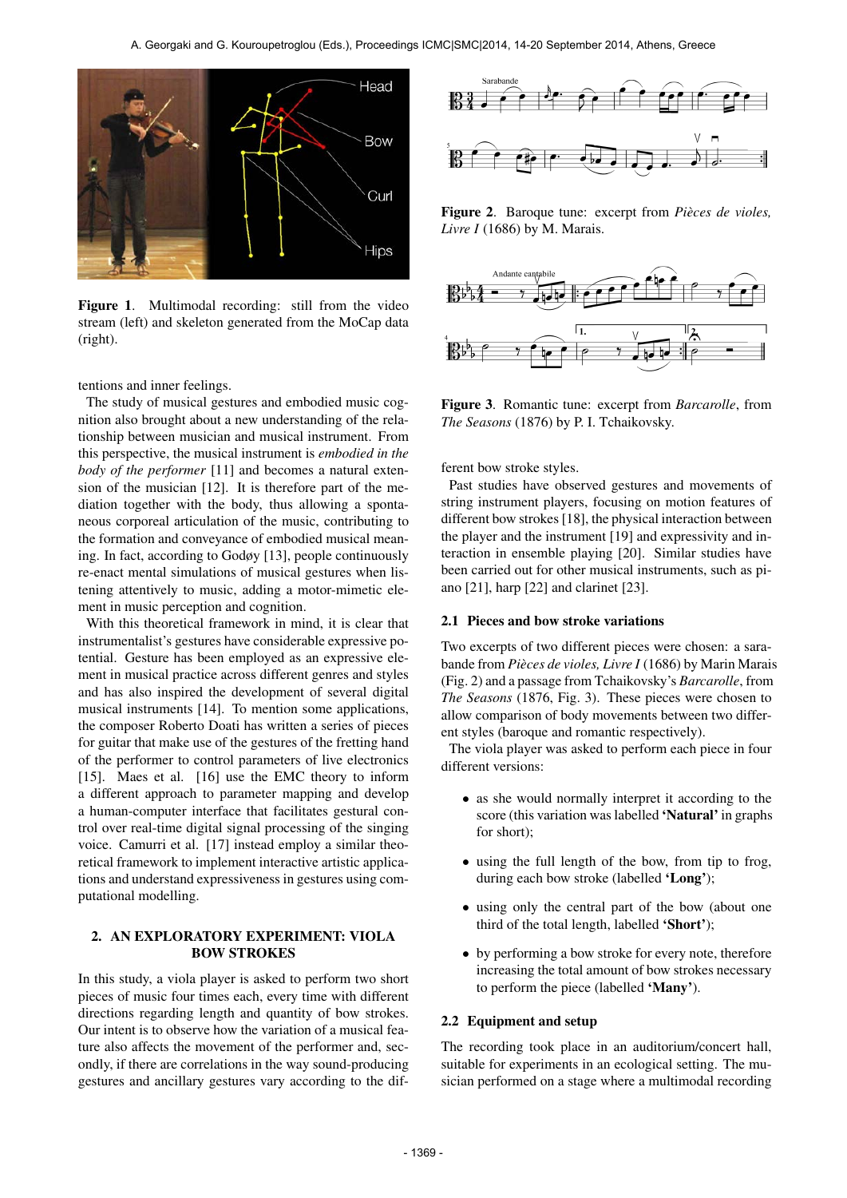

Figure 1. Multimodal recording: still from the video stream (left) and skeleton generated from the MoCap data (right).

tentions and inner feelings.

The study of musical gestures and embodied music cognition also brought about a new understanding of the relationship between musician and musical instrument. From this perspective, the musical instrument is *embodied in the body of the performer* [11] and becomes a natural extension of the musician [12]. It is therefore part of the mediation together with the body, thus allowing a spontaneous corporeal articulation of the music, contributing to the formation and conveyance of embodied musical meaning. In fact, according to Godøy [13], people continuously re-enact mental simulations of musical gestures when listening attentively to music, adding a motor-mimetic element in music perception and cognition.

With this theoretical framework in mind, it is clear that instrumentalist's gestures have considerable expressive potential. Gesture has been employed as an expressive element in musical practice across different genres and styles and has also inspired the development of several digital musical instruments [14]. To mention some applications, the composer Roberto Doati has written a series of pieces for guitar that make use of the gestures of the fretting hand of the performer to control parameters of live electronics [15]. Maes et al. [16] use the EMC theory to inform a different approach to parameter mapping and develop a human-computer interface that facilitates gestural control over real-time digital signal processing of the singing voice. Camurri et al. [17] instead employ a similar theoretical framework to implement interactive artistic applications and understand expressiveness in gestures using computational modelling.

### 2. AN EXPLORATORY EXPERIMENT: VIOLA BOW STROKES

In this study, a viola player is asked to perform two short pieces of music four times each, every time with different directions regarding length and quantity of bow strokes. Our intent is to observe how the variation of a musical feature also affects the movement of the performer and, secondly, if there are correlations in the way sound-producing gestures and ancillary gestures vary according to the dif-



Figure 2. Baroque tune: excerpt from *Pieces de violes, ` Livre I* (1686) by M. Marais.



Figure 3. Romantic tune: excerpt from *Barcarolle*, from *The Seasons* (1876) by P. I. Tchaikovsky.

ferent bow stroke styles.

Past studies have observed gestures and movements of string instrument players, focusing on motion features of different bow strokes [18], the physical interaction between the player and the instrument [19] and expressivity and interaction in ensemble playing [20]. Similar studies have been carried out for other musical instruments, such as piano [21], harp [22] and clarinet [23].

#### 2.1 Pieces and bow stroke variations

Two excerpts of two different pieces were chosen: a sarabande from *Pieces de violes, Livre I `* (1686) by Marin Marais (Fig. 2) and a passage from Tchaikovsky's *Barcarolle*, from *The Seasons* (1876, Fig. 3). These pieces were chosen to allow comparison of body movements between two different styles (baroque and romantic respectively).

The viola player was asked to perform each piece in four different versions:

- as she would normally interpret it according to the score (this variation was labelled 'Natural' in graphs for short);
- using the full length of the bow, from tip to frog, during each bow stroke (labelled 'Long');
- using only the central part of the bow (about one third of the total length, labelled 'Short');
- by performing a bow stroke for every note, therefore increasing the total amount of bow strokes necessary to perform the piece (labelled 'Many').

#### 2.2 Equipment and setup

The recording took place in an auditorium/concert hall, suitable for experiments in an ecological setting. The musician performed on a stage where a multimodal recording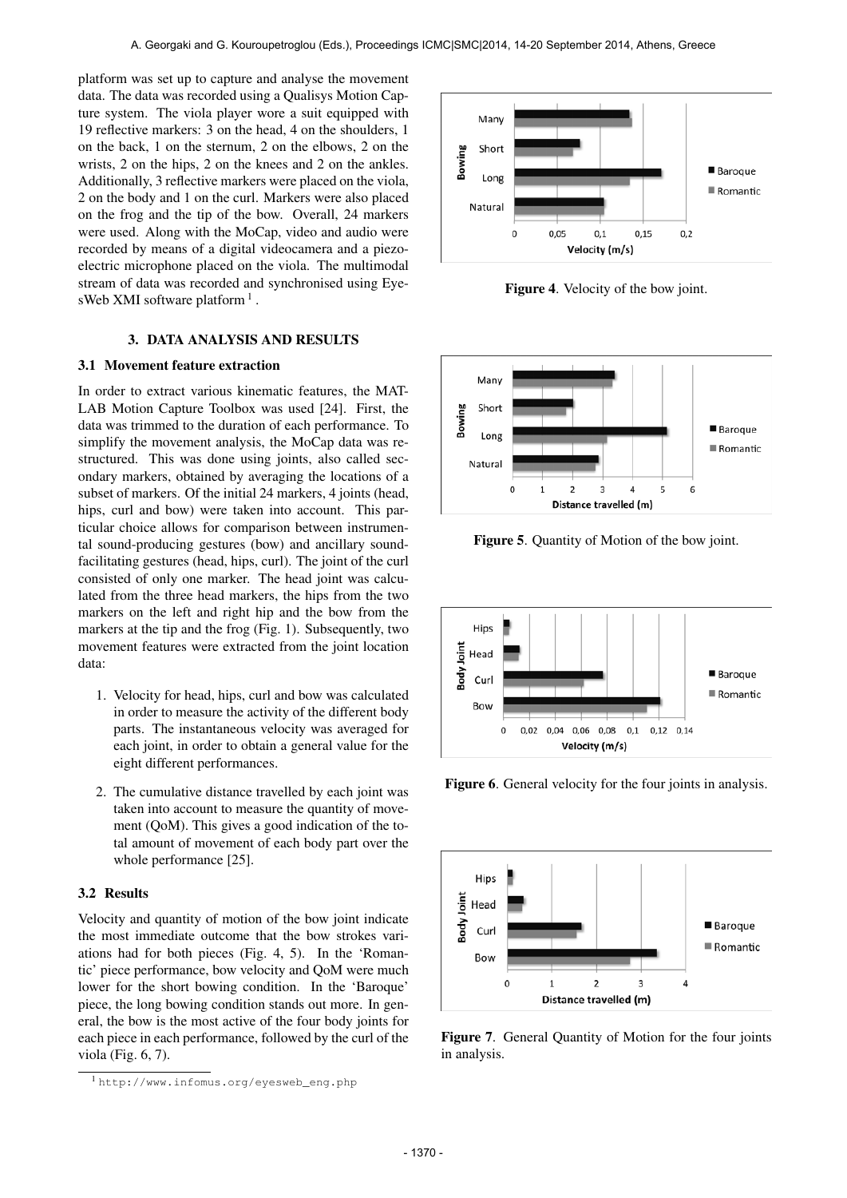platform was set up to capture and analyse the movement data. The data was recorded using a Qualisys Motion Capture system. The viola player wore a suit equipped with 19 reflective markers: 3 on the head, 4 on the shoulders, 1 on the back, 1 on the sternum, 2 on the elbows, 2 on the wrists, 2 on the hips, 2 on the knees and 2 on the ankles. Additionally, 3 reflective markers were placed on the viola, 2 on the body and 1 on the curl. Markers were also placed on the frog and the tip of the bow. Overall, 24 markers were used. Along with the MoCap, video and audio were recorded by means of a digital videocamera and a piezoelectric microphone placed on the viola. The multimodal stream of data was recorded and synchronised using EyesWeb XMI software platform<sup>1</sup>.

## 3. DATA ANALYSIS AND RESULTS

## 3.1 Movement feature extraction

In order to extract various kinematic features, the MAT-LAB Motion Capture Toolbox was used [24]. First, the data was trimmed to the duration of each performance. To simplify the movement analysis, the MoCap data was restructured. This was done using joints, also called secondary markers, obtained by averaging the locations of a subset of markers. Of the initial 24 markers, 4 joints (head, hips, curl and bow) were taken into account. This particular choice allows for comparison between instrumental sound-producing gestures (bow) and ancillary soundfacilitating gestures (head, hips, curl). The joint of the curl consisted of only one marker. The head joint was calculated from the three head markers, the hips from the two markers on the left and right hip and the bow from the markers at the tip and the frog (Fig. 1). Subsequently, two movement features were extracted from the joint location data:

- 1. Velocity for head, hips, curl and bow was calculated in order to measure the activity of the different body parts. The instantaneous velocity was averaged for each joint, in order to obtain a general value for the eight different performances.
- 2. The cumulative distance travelled by each joint was taken into account to measure the quantity of movement (QoM). This gives a good indication of the total amount of movement of each body part over the whole performance [25].

### 3.2 Results

Velocity and quantity of motion of the bow joint indicate the most immediate outcome that the bow strokes variations had for both pieces (Fig. 4, 5). In the 'Romantic' piece performance, bow velocity and QoM were much lower for the short bowing condition. In the 'Baroque' piece, the long bowing condition stands out more. In general, the bow is the most active of the four body joints for each piece in each performance, followed by the curl of the viola (Fig. 6, 7).



Figure 4. Velocity of the bow joint.



Figure 5. Quantity of Motion of the bow joint.



Figure 6. General velocity for the four joints in analysis.



Figure 7. General Quantity of Motion for the four joints in analysis.

<sup>1</sup> [http://www.infomus.org/eyesweb\\_eng.php](http://www.infomus.org/eyesweb_eng.php)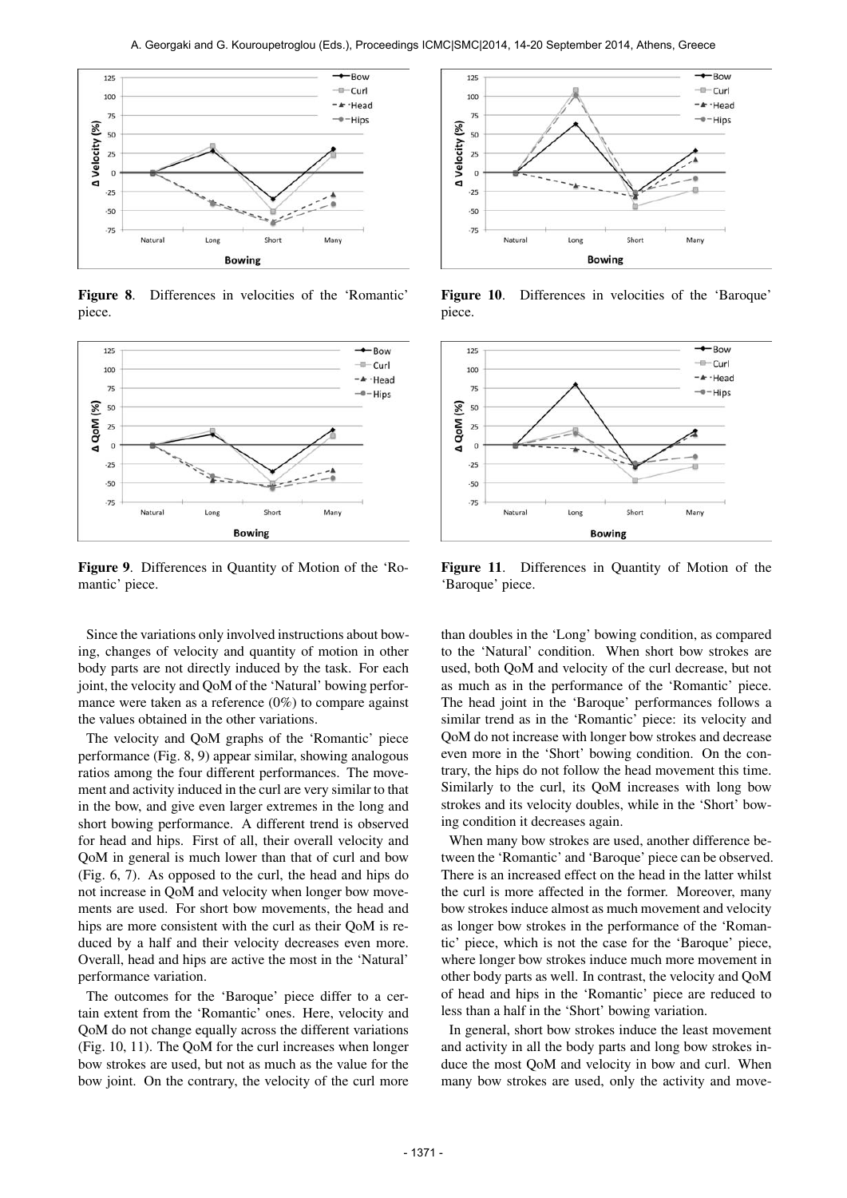

Figure 8. Differences in velocities of the 'Romantic' piece.



Figure 9. Differences in Quantity of Motion of the 'Romantic' piece.

Since the variations only involved instructions about bowing, changes of velocity and quantity of motion in other body parts are not directly induced by the task. For each joint, the velocity and QoM of the 'Natural' bowing performance were taken as a reference (0%) to compare against the values obtained in the other variations.

The velocity and QoM graphs of the 'Romantic' piece performance (Fig. 8, 9) appear similar, showing analogous ratios among the four different performances. The movement and activity induced in the curl are very similar to that in the bow, and give even larger extremes in the long and short bowing performance. A different trend is observed for head and hips. First of all, their overall velocity and QoM in general is much lower than that of curl and bow (Fig. 6, 7). As opposed to the curl, the head and hips do not increase in QoM and velocity when longer bow movements are used. For short bow movements, the head and hips are more consistent with the curl as their QoM is reduced by a half and their velocity decreases even more. Overall, head and hips are active the most in the 'Natural' performance variation.

The outcomes for the 'Baroque' piece differ to a certain extent from the 'Romantic' ones. Here, velocity and QoM do not change equally across the different variations (Fig. 10, 11). The QoM for the curl increases when longer bow strokes are used, but not as much as the value for the bow joint. On the contrary, the velocity of the curl more



Figure 10. Differences in velocities of the 'Baroque' piece.



Figure 11. Differences in Quantity of Motion of the 'Baroque' piece.

than doubles in the 'Long' bowing condition, as compared to the 'Natural' condition. When short bow strokes are used, both QoM and velocity of the curl decrease, but not as much as in the performance of the 'Romantic' piece. The head joint in the 'Baroque' performances follows a similar trend as in the 'Romantic' piece: its velocity and QoM do not increase with longer bow strokes and decrease even more in the 'Short' bowing condition. On the contrary, the hips do not follow the head movement this time. Similarly to the curl, its QoM increases with long bow strokes and its velocity doubles, while in the 'Short' bowing condition it decreases again.

When many bow strokes are used, another difference between the 'Romantic' and 'Baroque' piece can be observed. There is an increased effect on the head in the latter whilst the curl is more affected in the former. Moreover, many bow strokes induce almost as much movement and velocity as longer bow strokes in the performance of the 'Romantic' piece, which is not the case for the 'Baroque' piece, where longer bow strokes induce much more movement in other body parts as well. In contrast, the velocity and QoM of head and hips in the 'Romantic' piece are reduced to less than a half in the 'Short' bowing variation.

In general, short bow strokes induce the least movement and activity in all the body parts and long bow strokes induce the most QoM and velocity in bow and curl. When many bow strokes are used, only the activity and move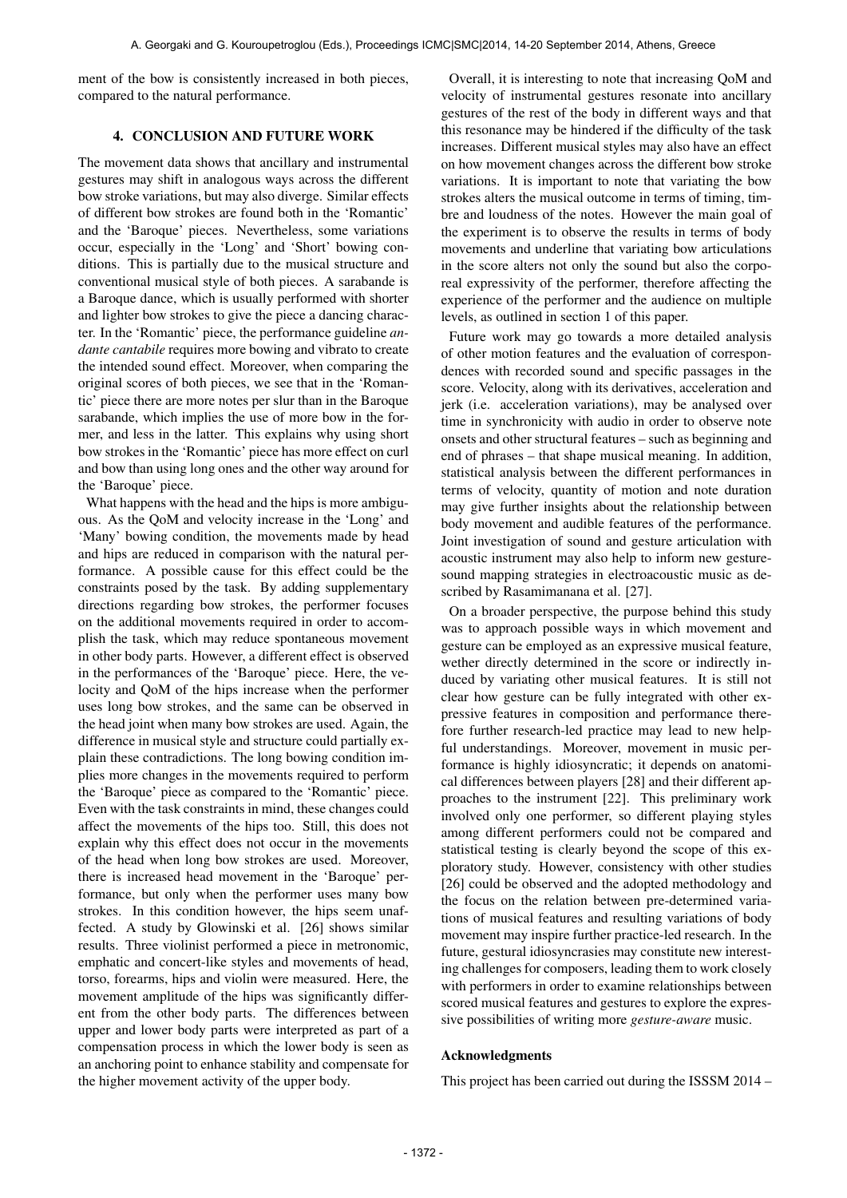ment of the bow is consistently increased in both pieces, compared to the natural performance.

## 4. CONCLUSION AND FUTURE WORK

The movement data shows that ancillary and instrumental gestures may shift in analogous ways across the different bow stroke variations, but may also diverge. Similar effects of different bow strokes are found both in the 'Romantic' and the 'Baroque' pieces. Nevertheless, some variations occur, especially in the 'Long' and 'Short' bowing conditions. This is partially due to the musical structure and conventional musical style of both pieces. A sarabande is a Baroque dance, which is usually performed with shorter and lighter bow strokes to give the piece a dancing character. In the 'Romantic' piece, the performance guideline *andante cantabile* requires more bowing and vibrato to create the intended sound effect. Moreover, when comparing the original scores of both pieces, we see that in the 'Romantic' piece there are more notes per slur than in the Baroque sarabande, which implies the use of more bow in the former, and less in the latter. This explains why using short bow strokes in the 'Romantic' piece has more effect on curl and bow than using long ones and the other way around for the 'Baroque' piece.

What happens with the head and the hips is more ambiguous. As the QoM and velocity increase in the 'Long' and 'Many' bowing condition, the movements made by head and hips are reduced in comparison with the natural performance. A possible cause for this effect could be the constraints posed by the task. By adding supplementary directions regarding bow strokes, the performer focuses on the additional movements required in order to accomplish the task, which may reduce spontaneous movement in other body parts. However, a different effect is observed in the performances of the 'Baroque' piece. Here, the velocity and QoM of the hips increase when the performer uses long bow strokes, and the same can be observed in the head joint when many bow strokes are used. Again, the difference in musical style and structure could partially explain these contradictions. The long bowing condition implies more changes in the movements required to perform the 'Baroque' piece as compared to the 'Romantic' piece. Even with the task constraints in mind, these changes could affect the movements of the hips too. Still, this does not explain why this effect does not occur in the movements of the head when long bow strokes are used. Moreover, there is increased head movement in the 'Baroque' performance, but only when the performer uses many bow strokes. In this condition however, the hips seem unaffected. A study by Glowinski et al. [26] shows similar results. Three violinist performed a piece in metronomic, emphatic and concert-like styles and movements of head, torso, forearms, hips and violin were measured. Here, the movement amplitude of the hips was significantly different from the other body parts. The differences between upper and lower body parts were interpreted as part of a compensation process in which the lower body is seen as an anchoring point to enhance stability and compensate for the higher movement activity of the upper body.

Overall, it is interesting to note that increasing QoM and velocity of instrumental gestures resonate into ancillary gestures of the rest of the body in different ways and that this resonance may be hindered if the difficulty of the task increases. Different musical styles may also have an effect on how movement changes across the different bow stroke variations. It is important to note that variating the bow strokes alters the musical outcome in terms of timing, timbre and loudness of the notes. However the main goal of the experiment is to observe the results in terms of body movements and underline that variating bow articulations in the score alters not only the sound but also the corporeal expressivity of the performer, therefore affecting the experience of the performer and the audience on multiple levels, as outlined in section 1 of this paper.

Future work may go towards a more detailed analysis of other motion features and the evaluation of correspondences with recorded sound and specific passages in the score. Velocity, along with its derivatives, acceleration and jerk (i.e. acceleration variations), may be analysed over time in synchronicity with audio in order to observe note onsets and other structural features – such as beginning and end of phrases – that shape musical meaning. In addition, statistical analysis between the different performances in terms of velocity, quantity of motion and note duration may give further insights about the relationship between body movement and audible features of the performance. Joint investigation of sound and gesture articulation with acoustic instrument may also help to inform new gesturesound mapping strategies in electroacoustic music as described by Rasamimanana et al. [27].

On a broader perspective, the purpose behind this study was to approach possible ways in which movement and gesture can be employed as an expressive musical feature, wether directly determined in the score or indirectly induced by variating other musical features. It is still not clear how gesture can be fully integrated with other expressive features in composition and performance therefore further research-led practice may lead to new helpful understandings. Moreover, movement in music performance is highly idiosyncratic; it depends on anatomical differences between players [28] and their different approaches to the instrument [22]. This preliminary work involved only one performer, so different playing styles among different performers could not be compared and statistical testing is clearly beyond the scope of this exploratory study. However, consistency with other studies [26] could be observed and the adopted methodology and the focus on the relation between pre-determined variations of musical features and resulting variations of body movement may inspire further practice-led research. In the future, gestural idiosyncrasies may constitute new interesting challenges for composers, leading them to work closely with performers in order to examine relationships between scored musical features and gestures to explore the expressive possibilities of writing more *gesture-aware* music.

## Acknowledgments

This project has been carried out during the ISSSM 2014 –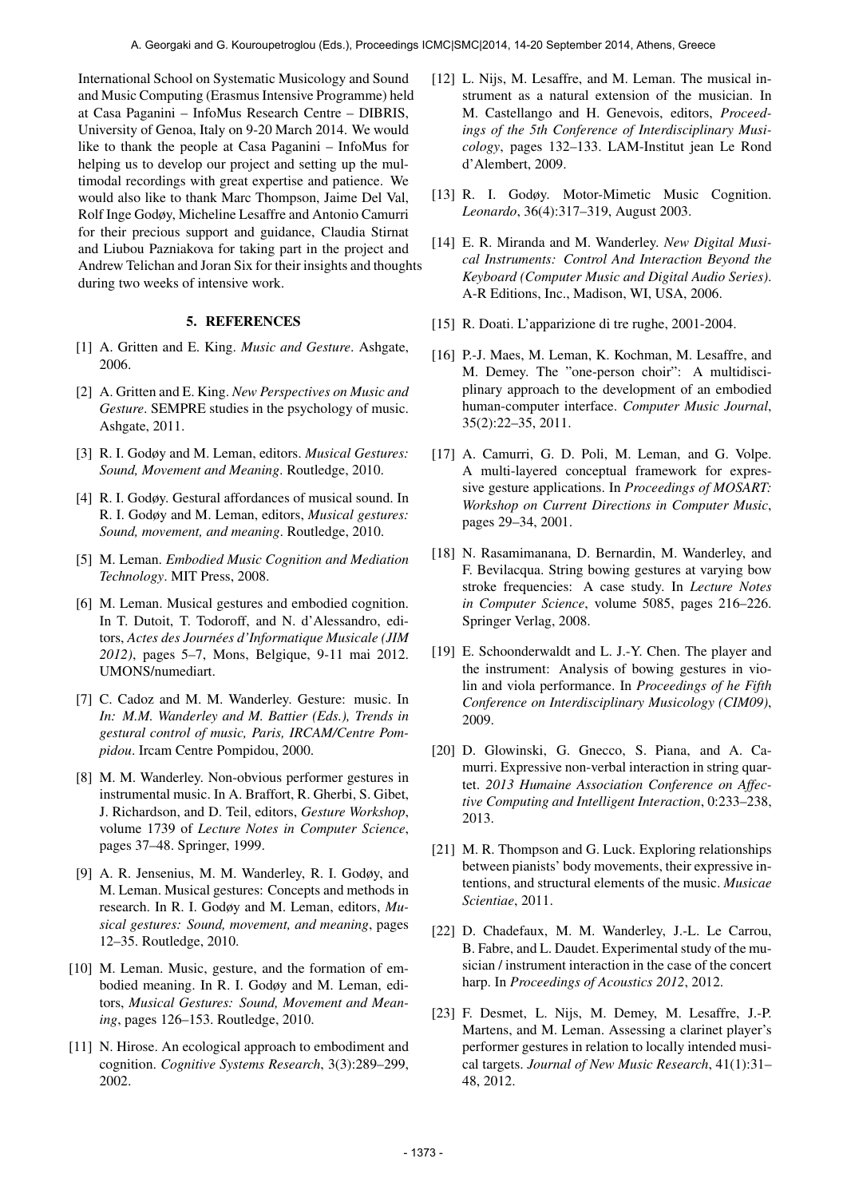International School on Systematic Musicology and Sound and Music Computing (Erasmus Intensive Programme) held at Casa Paganini – InfoMus Research Centre – DIBRIS, University of Genoa, Italy on 9-20 March 2014. We would like to thank the people at Casa Paganini – InfoMus for helping us to develop our project and setting up the multimodal recordings with great expertise and patience. We would also like to thank Marc Thompson, Jaime Del Val, Rolf Inge Godøy, Micheline Lesaffre and Antonio Camurri for their precious support and guidance, Claudia Stirnat and Liubou Pazniakova for taking part in the project and Andrew Telichan and Joran Six for their insights and thoughts during two weeks of intensive work.

#### 5. REFERENCES

- [1] A. Gritten and E. King. *Music and Gesture*. Ashgate, 2006.
- [2] A. Gritten and E. King. *New Perspectives on Music and Gesture*. SEMPRE studies in the psychology of music. Ashgate, 2011.
- [3] R. I. Godøy and M. Leman, editors. *Musical Gestures: Sound, Movement and Meaning*. Routledge, 2010.
- [4] R. I. Godøy. Gestural affordances of musical sound. In R. I. Godøy and M. Leman, editors, *Musical gestures: Sound, movement, and meaning*. Routledge, 2010.
- [5] M. Leman. *Embodied Music Cognition and Mediation Technology*. MIT Press, 2008.
- [6] M. Leman. Musical gestures and embodied cognition. In T. Dutoit, T. Todoroff, and N. d'Alessandro, editors, *Actes des Journees d'Informatique Musicale (JIM ´ 2012)*, pages 5–7, Mons, Belgique, 9-11 mai 2012. UMONS/numediart.
- [7] C. Cadoz and M. M. Wanderley. Gesture: music. In *In: M.M. Wanderley and M. Battier (Eds.), Trends in gestural control of music, Paris, IRCAM/Centre Pompidou*. Ircam Centre Pompidou, 2000.
- [8] M. M. Wanderley. Non-obvious performer gestures in instrumental music. In A. Braffort, R. Gherbi, S. Gibet, J. Richardson, and D. Teil, editors, *Gesture Workshop*, volume 1739 of *Lecture Notes in Computer Science*, pages 37–48. Springer, 1999.
- [9] A. R. Jensenius, M. M. Wanderley, R. I. Godøy, and M. Leman. Musical gestures: Concepts and methods in research. In R. I. Godøy and M. Leman, editors, *Musical gestures: Sound, movement, and meaning*, pages 12–35. Routledge, 2010.
- [10] M. Leman. Music, gesture, and the formation of embodied meaning. In R. I. Godøy and M. Leman, editors, *Musical Gestures: Sound, Movement and Meaning*, pages 126–153. Routledge, 2010.
- [11] N. Hirose. An ecological approach to embodiment and cognition. *Cognitive Systems Research*, 3(3):289–299, 2002.
- [12] L. Nijs, M. Lesaffre, and M. Leman. The musical instrument as a natural extension of the musician. In M. Castellango and H. Genevois, editors, *Proceedings of the 5th Conference of Interdisciplinary Musicology*, pages 132–133. LAM-Institut jean Le Rond d'Alembert, 2009.
- [13] R. I. Godøy. Motor-Mimetic Music Cognition. *Leonardo*, 36(4):317–319, August 2003.
- [14] E. R. Miranda and M. Wanderley. *New Digital Musical Instruments: Control And Interaction Beyond the Keyboard (Computer Music and Digital Audio Series)*. A-R Editions, Inc., Madison, WI, USA, 2006.
- [15] R. Doati. L'apparizione di tre rughe, 2001-2004.
- [16] P.-J. Maes, M. Leman, K. Kochman, M. Lesaffre, and M. Demey. The "one-person choir": A multidisciplinary approach to the development of an embodied human-computer interface. *Computer Music Journal*, 35(2):22–35, 2011.
- [17] A. Camurri, G. D. Poli, M. Leman, and G. Volpe. A multi-layered conceptual framework for expressive gesture applications. In *Proceedings of MOSART: Workshop on Current Directions in Computer Music*, pages 29–34, 2001.
- [18] N. Rasamimanana, D. Bernardin, M. Wanderley, and F. Bevilacqua. String bowing gestures at varying bow stroke frequencies: A case study. In *Lecture Notes in Computer Science*, volume 5085, pages 216–226. Springer Verlag, 2008.
- [19] E. Schoonderwaldt and L. J.-Y. Chen. The player and the instrument: Analysis of bowing gestures in violin and viola performance. In *Proceedings of he Fifth Conference on Interdisciplinary Musicology (CIM09)*, 2009.
- [20] D. Glowinski, G. Gnecco, S. Piana, and A. Camurri. Expressive non-verbal interaction in string quartet. *2013 Humaine Association Conference on Affective Computing and Intelligent Interaction*, 0:233–238, 2013.
- [21] M. R. Thompson and G. Luck. Exploring relationships between pianists' body movements, their expressive intentions, and structural elements of the music. *Musicae Scientiae*, 2011.
- [22] D. Chadefaux, M. M. Wanderley, J.-L. Le Carrou, B. Fabre, and L. Daudet. Experimental study of the musician / instrument interaction in the case of the concert harp. In *Proceedings of Acoustics 2012*, 2012.
- [23] F. Desmet, L. Nijs, M. Demey, M. Lesaffre, J.-P. Martens, and M. Leman. Assessing a clarinet player's performer gestures in relation to locally intended musical targets. *Journal of New Music Research*, 41(1):31– 48, 2012.